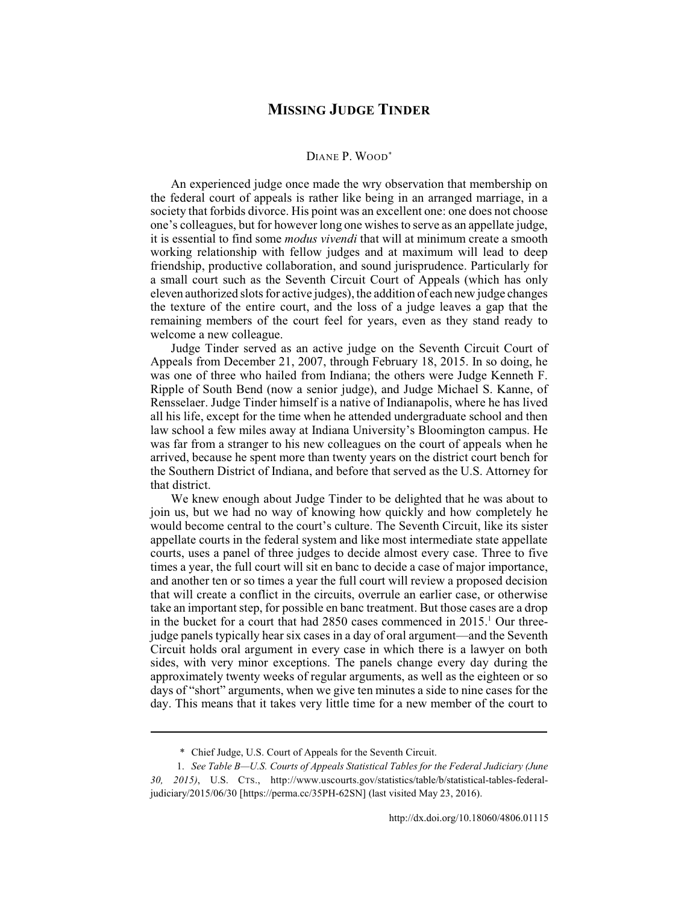## **MISSING JUDGE TINDER**

## DIANE P. WOOD\*

An experienced judge once made the wry observation that membership on the federal court of appeals is rather like being in an arranged marriage, in a society that forbids divorce. His point was an excellent one: one does not choose one's colleagues, but for however long one wishes to serve as an appellate judge, it is essential to find some *modus vivendi* that will at minimum create a smooth working relationship with fellow judges and at maximum will lead to deep friendship, productive collaboration, and sound jurisprudence. Particularly for a small court such as the Seventh Circuit Court of Appeals (which has only eleven authorized slots for active judges), the addition of each new judge changes the texture of the entire court, and the loss of a judge leaves a gap that the remaining members of the court feel for years, even as they stand ready to welcome a new colleague.

Judge Tinder served as an active judge on the Seventh Circuit Court of Appeals from December 21, 2007, through February 18, 2015. In so doing, he was one of three who hailed from Indiana; the others were Judge Kenneth F. Ripple of South Bend (now a senior judge), and Judge Michael S. Kanne, of Rensselaer. Judge Tinder himself is a native of Indianapolis, where he has lived all his life, except for the time when he attended undergraduate school and then law school a few miles away at Indiana University's Bloomington campus. He was far from a stranger to his new colleagues on the court of appeals when he arrived, because he spent more than twenty years on the district court bench for the Southern District of Indiana, and before that served as the U.S. Attorney for that district.

We knew enough about Judge Tinder to be delighted that he was about to join us, but we had no way of knowing how quickly and how completely he would become central to the court's culture. The Seventh Circuit, like its sister appellate courts in the federal system and like most intermediate state appellate courts, uses a panel of three judges to decide almost every case. Three to five times a year, the full court will sit en banc to decide a case of major importance, and another ten or so times a year the full court will review a proposed decision that will create a conflict in the circuits, overrule an earlier case, or otherwise take an important step, for possible en banc treatment. But those cases are a drop in the bucket for a court that had 2850 cases commenced in 2015.<sup>1</sup> Our threejudge panels typically hear six cases in a day of oral argument—and the Seventh Circuit holds oral argument in every case in which there is a lawyer on both sides, with very minor exceptions. The panels change every day during the approximately twenty weeks of regular arguments, as well as the eighteen or so days of "short" arguments, when we give ten minutes a side to nine cases for the day. This means that it takes very little time for a new member of the court to

<sup>\*</sup> Chief Judge, U.S. Court of Appeals for the Seventh Circuit.

<sup>1.</sup> *See Table B—U.S. Courts of Appeals Statistical Tables for the Federal Judiciary (June 30, 2015)*, U.S. CTS., http://www.uscourts.gov/statistics/table/b/statistical-tables-federaljudiciary/2015/06/30 [https://perma.cc/35PH-62SN] (last visited May 23, 2016).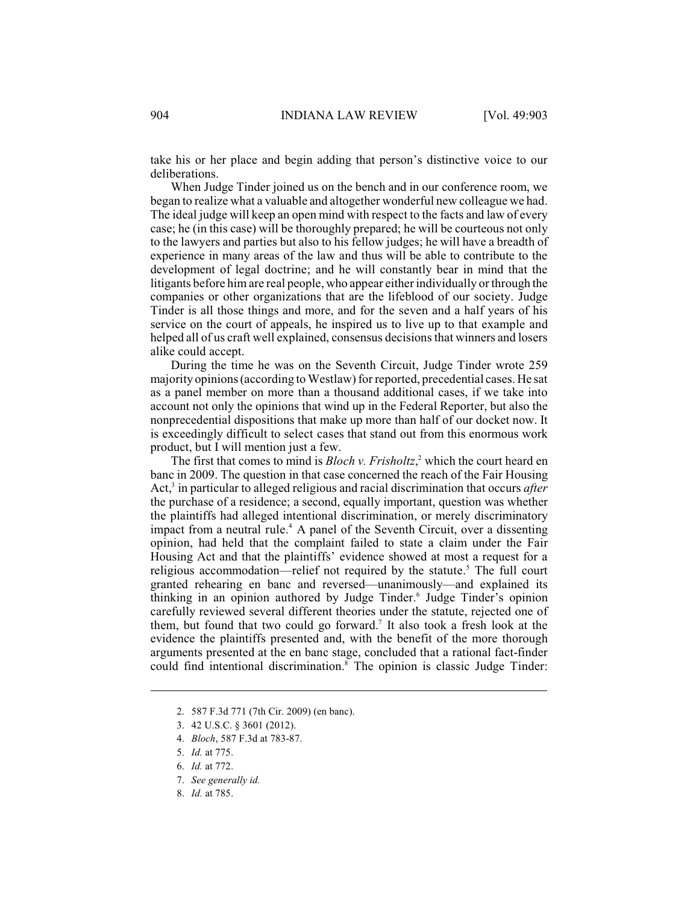take his or her place and begin adding that person's distinctive voice to our deliberations.

When Judge Tinder joined us on the bench and in our conference room, we began to realize what a valuable and altogether wonderful new colleague we had. The ideal judge will keep an open mind with respect to the facts and law of every case; he (in this case) will be thoroughly prepared; he will be courteous not only to the lawyers and parties but also to his fellow judges; he will have a breadth of experience in many areas of the law and thus will be able to contribute to the development of legal doctrine; and he will constantly bear in mind that the litigants before him are real people, who appear either individually or through the companies or other organizations that are the lifeblood of our society. Judge Tinder is all those things and more, and for the seven and a half years of his service on the court of appeals, he inspired us to live up to that example and helped all of us craft well explained, consensus decisions that winners and losers alike could accept.

During the time he was on the Seventh Circuit, Judge Tinder wrote 259 majority opinions (according to Westlaw) for reported, precedential cases. He sat as a panel member on more than a thousand additional cases, if we take into account not only the opinions that wind up in the Federal Reporter, but also the nonprecedential dispositions that make up more than half of our docket now. It is exceedingly difficult to select cases that stand out from this enormous work product, but I will mention just a few.

The first that comes to mind is  $Bloch v$ . Frisholtz,<sup>2</sup> which the court heard en banc in 2009. The question in that case concerned the reach of the Fair Housing Act,<sup>3</sup> in particular to alleged religious and racial discrimination that occurs *after* the purchase of a residence; a second, equally important, question was whether the plaintiffs had alleged intentional discrimination, or merely discriminatory impact from a neutral rule.<sup>4</sup> A panel of the Seventh Circuit, over a dissenting opinion, had held that the complaint failed to state a claim under the Fair Housing Act and that the plaintiffs' evidence showed at most a request for a religious accommodation—relief not required by the statute.<sup>5</sup> The full court granted rehearing en banc and reversed—unanimously—and explained its thinking in an opinion authored by Judge Tinder.<sup>6</sup> Judge Tinder's opinion carefully reviewed several different theories under the statute, rejected one of them, but found that two could go forward.<sup>7</sup> It also took a fresh look at the evidence the plaintiffs presented and, with the benefit of the more thorough arguments presented at the en banc stage, concluded that a rational fact-finder could find intentional discrimination.<sup>8</sup> The opinion is classic Judge Tinder:

8. *Id.* at 785.

<sup>2.</sup> 587 F.3d 771 (7th Cir. 2009) (en banc).

<sup>3.</sup> 42 U.S.C. § 3601 (2012).

<sup>4.</sup> *Bloch*, 587 F.3d at 783-87.

<sup>5.</sup> *Id.* at 775.

<sup>6.</sup> *Id.* at 772.

<sup>7.</sup> *See generally id.*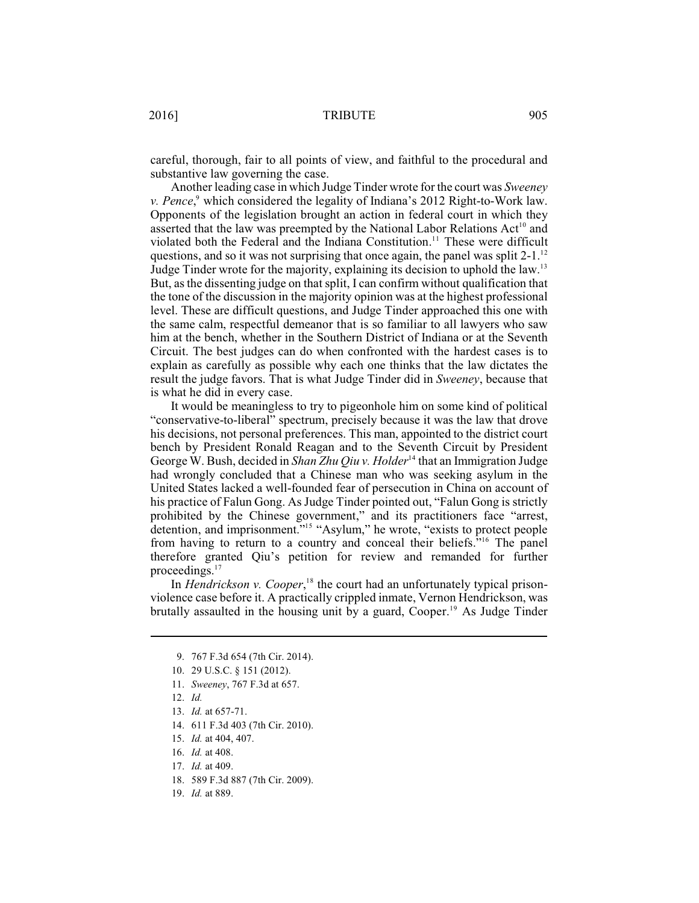careful, thorough, fair to all points of view, and faithful to the procedural and substantive law governing the case.

Another leading case in which Judge Tinder wrote for the court was *Sweeney v. Pence*,<sup>9</sup> which considered the legality of Indiana's 2012 Right-to-Work law. Opponents of the legislation brought an action in federal court in which they asserted that the law was preempted by the National Labor Relations  $Act^{10}$  and violated both the Federal and the Indiana Constitution.<sup>11</sup> These were difficult questions, and so it was not surprising that once again, the panel was split  $2-1$ .<sup>12</sup> Judge Tinder wrote for the majority, explaining its decision to uphold the law.<sup>13</sup> But, as the dissenting judge on that split, I can confirm without qualification that the tone of the discussion in the majority opinion was at the highest professional level. These are difficult questions, and Judge Tinder approached this one with the same calm, respectful demeanor that is so familiar to all lawyers who saw him at the bench, whether in the Southern District of Indiana or at the Seventh Circuit. The best judges can do when confronted with the hardest cases is to explain as carefully as possible why each one thinks that the law dictates the result the judge favors. That is what Judge Tinder did in *Sweeney*, because that is what he did in every case.

It would be meaningless to try to pigeonhole him on some kind of political "conservative-to-liberal" spectrum, precisely because it was the law that drove his decisions, not personal preferences. This man, appointed to the district court bench by President Ronald Reagan and to the Seventh Circuit by President George W. Bush, decided in *Shan Zhu Qiu v. Holder*<sup>14</sup> that an Immigration Judge had wrongly concluded that a Chinese man who was seeking asylum in the United States lacked a well-founded fear of persecution in China on account of his practice of Falun Gong. As Judge Tinder pointed out, "Falun Gong is strictly prohibited by the Chinese government," and its practitioners face "arrest, detention, and imprisonment."<sup>15</sup> "Asylum," he wrote, "exists to protect people from having to return to a country and conceal their beliefs."<sup>16</sup> The panel therefore granted Qiu's petition for review and remanded for further proceedings.<sup>17</sup>

In *Hendrickson v. Cooper*,<sup>18</sup> the court had an unfortunately typical prisonviolence case before it. A practically crippled inmate, Vernon Hendrickson, was brutally assaulted in the housing unit by a guard, Cooper.<sup>19</sup> As Judge Tinder

- 13. *Id.* at 657-71.
- 14. 611 F.3d 403 (7th Cir. 2010).
- 15. *Id.* at 404, 407.
- 16. *Id.* at 408.
- 17. *Id.* at 409.
- 18. 589 F.3d 887 (7th Cir. 2009).
- 19. *Id.* at 889.

<sup>9.</sup> 767 F.3d 654 (7th Cir. 2014).

<sup>10.</sup> 29 U.S.C. § 151 (2012).

<sup>11.</sup> *Sweeney*, 767 F.3d at 657.

<sup>12.</sup> *Id.*